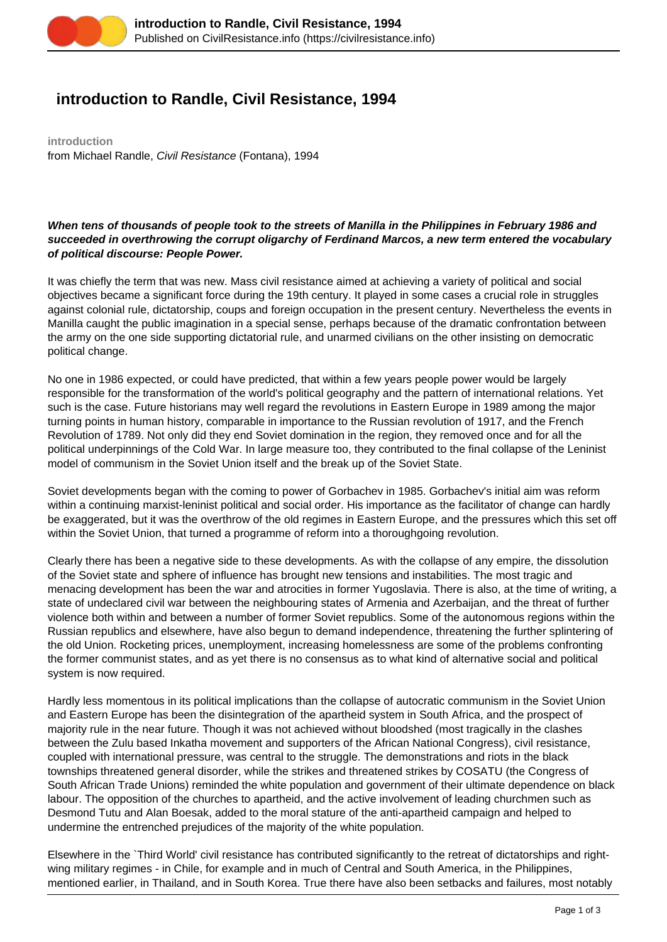

## **introduction to Randle, Civil Resistance, 1994**

**introduction** from Michael Randle, Civil Resistance (Fontana), 1994

## **When tens of thousands of people took to the streets of Manilla in the Philippines in February 1986 and succeeded in overthrowing the corrupt oligarchy of Ferdinand Marcos, a new term entered the vocabulary of political discourse: People Power.**

It was chiefly the term that was new. Mass civil resistance aimed at achieving a variety of political and social objectives became a significant force during the 19th century. It played in some cases a crucial role in struggles against colonial rule, dictatorship, coups and foreign occupation in the present century. Nevertheless the events in Manilla caught the public imagination in a special sense, perhaps because of the dramatic confrontation between the army on the one side supporting dictatorial rule, and unarmed civilians on the other insisting on democratic political change.

No one in 1986 expected, or could have predicted, that within a few years people power would be largely responsible for the transformation of the world's political geography and the pattern of international relations. Yet such is the case. Future historians may well regard the revolutions in Eastern Europe in 1989 among the major turning points in human history, comparable in importance to the Russian revolution of 1917, and the French Revolution of 1789. Not only did they end Soviet domination in the region, they removed once and for all the political underpinnings of the Cold War. In large measure too, they contributed to the final collapse of the Leninist model of communism in the Soviet Union itself and the break up of the Soviet State.

Soviet developments began with the coming to power of Gorbachev in 1985. Gorbachev's initial aim was reform within a continuing marxist-leninist political and social order. His importance as the facilitator of change can hardly be exaggerated, but it was the overthrow of the old regimes in Eastern Europe, and the pressures which this set off within the Soviet Union, that turned a programme of reform into a thoroughgoing revolution.

Clearly there has been a negative side to these developments. As with the collapse of any empire, the dissolution of the Soviet state and sphere of influence has brought new tensions and instabilities. The most tragic and menacing development has been the war and atrocities in former Yugoslavia. There is also, at the time of writing, a state of undeclared civil war between the neighbouring states of Armenia and Azerbaijan, and the threat of further violence both within and between a number of former Soviet republics. Some of the autonomous regions within the Russian republics and elsewhere, have also begun to demand independence, threatening the further splintering of the old Union. Rocketing prices, unemployment, increasing homelessness are some of the problems confronting the former communist states, and as yet there is no consensus as to what kind of alternative social and political system is now required.

Hardly less momentous in its political implications than the collapse of autocratic communism in the Soviet Union and Eastern Europe has been the disintegration of the apartheid system in South Africa, and the prospect of majority rule in the near future. Though it was not achieved without bloodshed (most tragically in the clashes between the Zulu based Inkatha movement and supporters of the African National Congress), civil resistance, coupled with international pressure, was central to the struggle. The demonstrations and riots in the black townships threatened general disorder, while the strikes and threatened strikes by COSATU (the Congress of South African Trade Unions) reminded the white population and government of their ultimate dependence on black labour. The opposition of the churches to apartheid, and the active involvement of leading churchmen such as Desmond Tutu and Alan Boesak, added to the moral stature of the anti-apartheid campaign and helped to undermine the entrenched prejudices of the majority of the white population.

Elsewhere in the `Third World' civil resistance has contributed significantly to the retreat of dictatorships and rightwing military regimes - in Chile, for example and in much of Central and South America, in the Philippines, mentioned earlier, in Thailand, and in South Korea. True there have also been setbacks and failures, most notably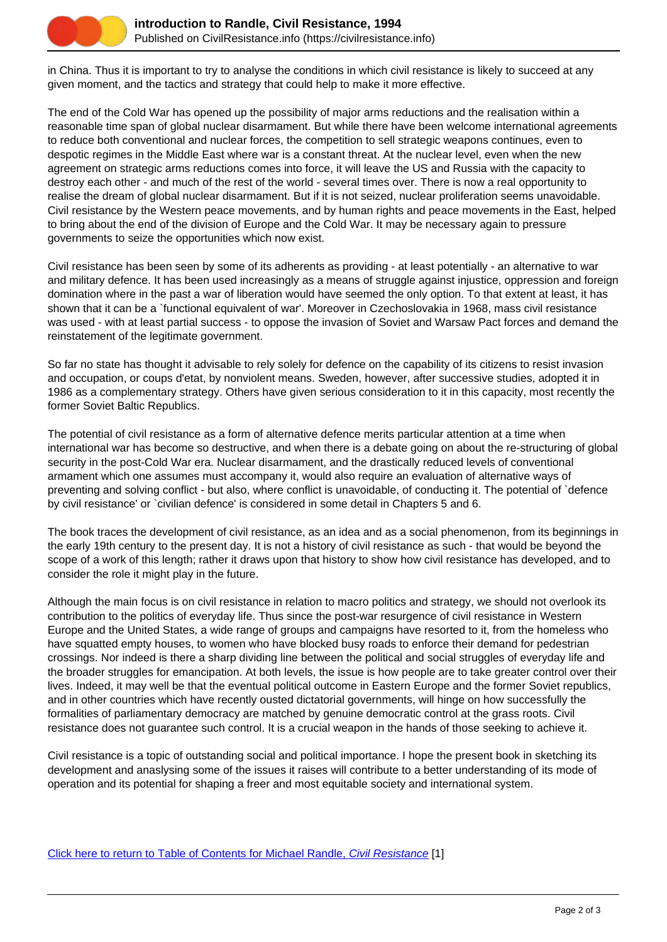

in China. Thus it is important to try to analyse the conditions in which civil resistance is likely to succeed at any given moment, and the tactics and strategy that could help to make it more effective.

The end of the Cold War has opened up the possibility of major arms reductions and the realisation within a reasonable time span of global nuclear disarmament. But while there have been welcome international agreements to reduce both conventional and nuclear forces, the competition to sell strategic weapons continues, even to despotic regimes in the Middle East where war is a constant threat. At the nuclear level, even when the new agreement on strategic arms reductions comes into force, it will leave the US and Russia with the capacity to destroy each other - and much of the rest of the world - several times over. There is now a real opportunity to realise the dream of global nuclear disarmament. But if it is not seized, nuclear proliferation seems unavoidable. Civil resistance by the Western peace movements, and by human rights and peace movements in the East, helped to bring about the end of the division of Europe and the Cold War. It may be necessary again to pressure governments to seize the opportunities which now exist.

Civil resistance has been seen by some of its adherents as providing - at least potentially - an alternative to war and military defence. It has been used increasingly as a means of struggle against injustice, oppression and foreign domination where in the past a war of liberation would have seemed the only option. To that extent at least, it has shown that it can be a `functional equivalent of war'. Moreover in Czechoslovakia in 1968, mass civil resistance was used - with at least partial success - to oppose the invasion of Soviet and Warsaw Pact forces and demand the reinstatement of the legitimate government.

So far no state has thought it advisable to rely solely for defence on the capability of its citizens to resist invasion and occupation, or coups d'etat, by nonviolent means. Sweden, however, after successive studies, adopted it in 1986 as a complementary strategy. Others have given serious consideration to it in this capacity, most recently the former Soviet Baltic Republics.

The potential of civil resistance as a form of alternative defence merits particular attention at a time when international war has become so destructive, and when there is a debate going on about the re-structuring of global security in the post-Cold War era. Nuclear disarmament, and the drastically reduced levels of conventional armament which one assumes must accompany it, would also require an evaluation of alternative ways of preventing and solving conflict - but also, where conflict is unavoidable, of conducting it. The potential of `defence by civil resistance' or `civilian defence' is considered in some detail in Chapters 5 and 6.

The book traces the development of civil resistance, as an idea and as a social phenomenon, from its beginnings in the early 19th century to the present day. It is not a history of civil resistance as such - that would be beyond the scope of a work of this length; rather it draws upon that history to show how civil resistance has developed, and to consider the role it might play in the future.

Although the main focus is on civil resistance in relation to macro politics and strategy, we should not overlook its contribution to the politics of everyday life. Thus since the post-war resurgence of civil resistance in Western Europe and the United States, a wide range of groups and campaigns have resorted to it, from the homeless who have squatted empty houses, to women who have blocked busy roads to enforce their demand for pedestrian crossings. Nor indeed is there a sharp dividing line between the political and social struggles of everyday life and the broader struggles for emancipation. At both levels, the issue is how people are to take greater control over their lives. Indeed, it may well be that the eventual political outcome in Eastern Europe and the former Soviet republics, and in other countries which have recently ousted dictatorial governments, will hinge on how successfully the formalities of parliamentary democracy are matched by genuine democratic control at the grass roots. Civil resistance does not guarantee such control. It is a crucial weapon in the hands of those seeking to achieve it.

Civil resistance is a topic of outstanding social and political importance. I hope the present book in sketching its development and anaslysing some of the issues it raises will contribute to a better understanding of its mode of operation and its potential for shaping a freer and most equitable society and international system.

[Click here to return to Table of Contents for Michael Randle,](https://civilresistance.info/randle1994) [Civil Resistance](https://civilresistance.info/randle1994) [1]